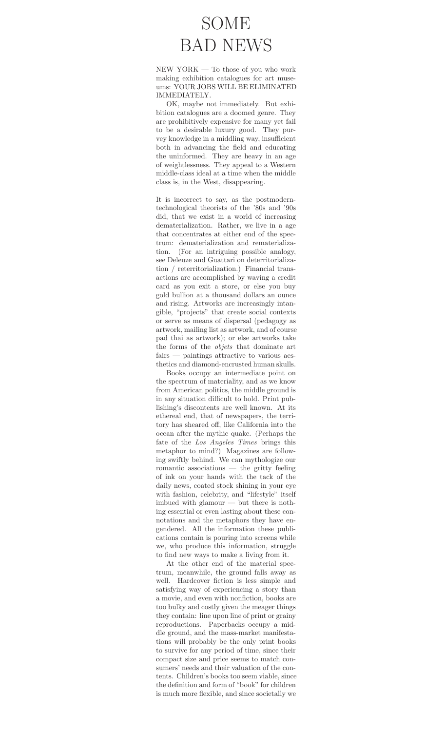## SOME BAD NEWS

NEW YORK — To those of you who work making exhibition catalogues for art museums: YOUR JOBS WILL BE ELIMINATED IMMEDIATELY.

OK, maybe not immediately. But exhibition catalogues are a doomed genre. They are prohibitively expensive for many yet fail to be a desirable luxury good. They purvey knowledge in a middling way, insufficient both in advancing the field and educating the uninformed. They are heavy in an age of weightlessness. They appeal to a Western middle-class ideal at a time when the middle class is, in the West, disappearing.

It is incorrect to say, as the postmoderntechnological theorists of the '80s and '90s did, that we exist in a world of increasing dematerialization. Rather, we live in a age that concentrates at either end of the spectrum: dematerialization and rematerialization. (For an intriguing possible analogy, see Deleuze and Guattari on deterritorialization / reterritorialization.) Financial transactions are accomplished by waving a credit card as you exit a store, or else you buy gold bullion at a thousand dollars an ounce and rising. Artworks are increasingly intangible, "projects" that create social contexts or serve as means of dispersal (pedagogy as artwork, mailing list as artwork, and of course pad thai as artwork); or else artworks take the forms of the objets that dominate art fairs — paintings attractive to various aesthetics and diamond-encrusted human skulls.

Books occupy an intermediate point on the spectrum of materiality, and as we know from American politics, the middle ground is in any situation difficult to hold. Print publishing's discontents are well known. At its ethereal end, that of newspapers, the territory has sheared off, like California into the ocean after the mythic quake. (Perhaps the fate of the Los Angeles Times brings this metaphor to mind?) Magazines are following swiftly behind. We can mythologize our romantic associations — the gritty feeling of ink on your hands with the tack of the daily news, coated stock shining in your eye with fashion, celebrity, and "lifestyle" itself imbued with glamour — but there is nothing essential or even lasting about these connotations and the metaphors they have engendered. All the information these publications contain is pouring into screens while we, who produce this information, struggle to find new ways to make a living from it.

At the other end of the material spectrum, meanwhile, the ground falls away as well. Hardcover fiction is less simple and satisfying way of experiencing a story than a movie, and even with nonfiction, books are too bulky and costly given the meager things they contain: line upon line of print or grainy reproductions. Paperbacks occupy a middle ground, and the mass-market manifestations will probably be the only print books to survive for any period of time, since their compact size and price seems to match consumers' needs and their valuation of the contents. Children's books too seem viable, since the definition and form of "book" for children is much more flexible, and since societally we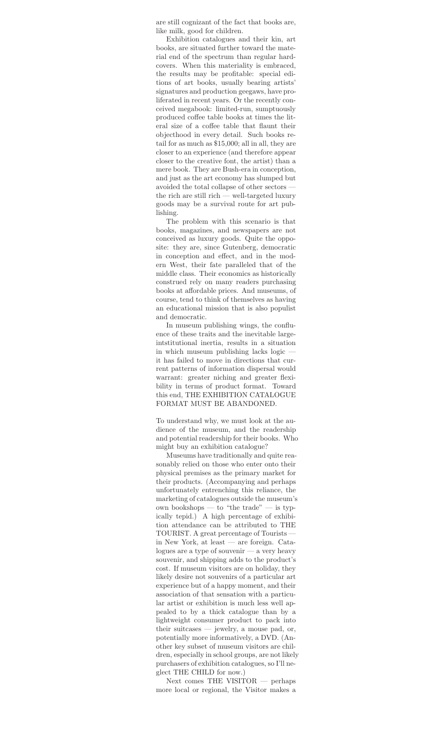are still cognizant of the fact that books are, like milk, good for children.

Exhibition catalogues and their kin, art books, are situated further toward the material end of the spectrum than regular hardcovers. When this materiality is embraced, the results may be profitable: special editions of art books, usually bearing artists' signatures and production geegaws, have proliferated in recent years. Or the recently conceived megabook: limited-run, sumptuously produced coffee table books at times the literal size of a coffee table that flaunt their objecthood in every detail. Such books retail for as much as \$15,000; all in all, they are closer to an experience (and therefore appear closer to the creative font, the artist) than a mere book. They are Bush-era in conception, and just as the art economy has slumped but avoided the total collapse of other sectors the rich are still rich — well-targeted luxury goods may be a survival route for art publishing.

The problem with this scenario is that books, magazines, and newspapers are not conceived as luxury goods. Quite the opposite: they are, since Gutenberg, democratic in conception and effect, and in the modern West, their fate paralleled that of the middle class. Their economics as historically construed rely on many readers purchasing books at affordable prices. And museums, of course, tend to think of themselves as having an educational mission that is also populist and democratic.

In museum publishing wings, the confluence of these traits and the inevitable largeintstitutional inertia, results in a situation in which museum publishing lacks logic it has failed to move in directions that current patterns of information dispersal would warrant: greater niching and greater flexibility in terms of product format. Toward this end, THE EXHIBITION CATALOGUE FORMAT MUST BE ABANDONED.

To understand why, we must look at the audience of the museum, and the readership and potential readership for their books. Who might buy an exhibition catalogue?

Museums have traditionally and quite reasonably relied on those who enter onto their physical premises as the primary market for their products. (Accompanying and perhaps unfortunately entrenching this reliance, the marketing of catalogues outside the museum's own bookshops — to "the trade" — is typically tepid.) A high percentage of exhibition attendance can be attributed to THE TOURIST. A great percentage of Tourists in New York, at least — are foreign. Catalogues are a type of souvenir — a very heavy souvenir, and shipping adds to the product's cost. If museum visitors are on holiday, they likely desire not souvenirs of a particular art experience but of a happy moment, and their association of that sensation with a particular artist or exhibition is much less well appealed to by a thick catalogue than by a lightweight consumer product to pack into their suitcases — jewelry, a mouse pad, or, potentially more informatively, a DVD. (Another key subset of museum visitors are children, especially in school groups, are not likely purchasers of exhibition catalogues, so I'll neglect THE CHILD for now.)

Next comes THE VISITOR — perhaps more local or regional, the Visitor makes a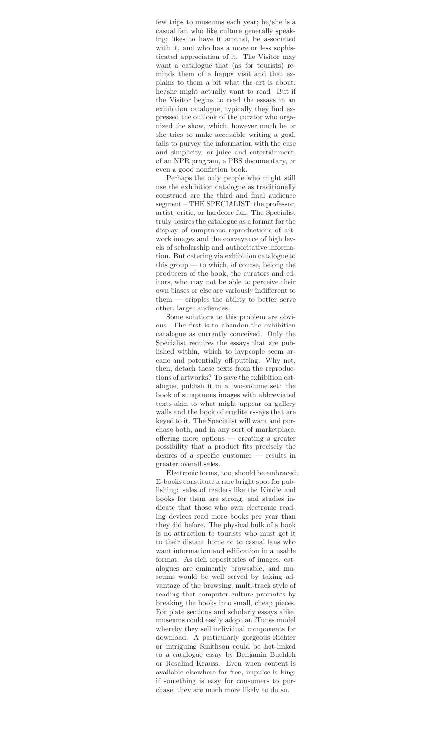few trips to museums each year; he/she is a casual fan who like culture generally speaking; likes to have it around, be associated with it, and who has a more or less sophisticated appreciation of it. The Visitor may want a catalogue that (as for tourists) reminds them of a happy visit and that explains to them a bit what the art is about; he/she might actually want to read. But if the Visitor begins to read the essays in an exhibition catalogue, typically they find expressed the outlook of the curator who organized the show, which, however much he or she tries to make accessible writing a goal, fails to purvey the information with the ease and simplicity, or juice and entertainment, of an NPR program, a PBS documentary, or even a good nonfiction book.

Perhaps the only people who might still use the exhibition catalogue as traditionally construed are the third and final audience segment – THE SPECIALIST: the professor, artist, critic, or hardcore fan. The Specialist truly desires the catalogue as a format for the display of sumptuous reproductions of artwork images and the conveyance of high levels of scholarship and authoritative information. But catering via exhibition catalogue to this group — to which, of course, belong the producers of the book, the curators and editors, who may not be able to perceive their own biases or else are variously indifferent to them — cripples the ability to better serve other, larger audiences.

Some solutions to this problem are obvious. The first is to abandon the exhibition catalogue as currently conceived. Only the Specialist requires the essays that are published within, which to laypeople seem arcane and potentially off-putting. Why not, then, detach these texts from the reproductions of artworks? To save the exhibition catalogue, publish it in a two-volume set: the book of sumptuous images with abbreviated texts akin to what might appear on gallery walls and the book of erudite essays that are keyed to it. The Specialist will want and purchase both, and in any sort of marketplace, offering more options — creating a greater possibility that a product fits precisely the desires of a specific customer — results in greater overall sales.

Electronic forms, too, should be embraced. E-books constitute a rare bright spot for publishing: sales of readers like the Kindle and books for them are strong, and studies indicate that those who own electronic reading devices read more books per year than they did before. The physical bulk of a book is no attraction to tourists who must get it to their distant home or to casual fans who want information and edification in a usable format. As rich repositories of images, catalogues are eminently browsable, and museums would be well served by taking advantage of the browsing, multi-track style of reading that computer culture promotes by breaking the books into small, cheap pieces. For plate sections and scholarly essays alike, museums could easily adopt an iTunes model whereby they sell individual components for download. A particularly gorgeous Richter or intriguing Smithson could be hot-linked to a catalogue essay by Benjamin Buchloh or Rosalind Krauss. Even when content is available elsewhere for free, impulse is king: if something is easy for consumers to purchase, they are much more likely to do so.